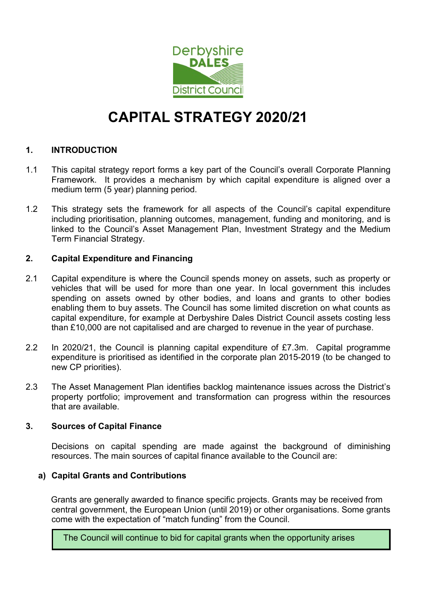

# CAPITAL STRATEGY 2020/21

# 1. INTRODUCTION

- 1.1 This capital strategy report forms a key part of the Council's overall Corporate Planning Framework. It provides a mechanism by which capital expenditure is aligned over a medium term (5 year) planning period.
- 1.2 This strategy sets the framework for all aspects of the Council's capital expenditure including prioritisation, planning outcomes, management, funding and monitoring, and is linked to the Council's Asset Management Plan, Investment Strategy and the Medium Term Financial Strategy.

### 2. Capital Expenditure and Financing

- 2.1 Capital expenditure is where the Council spends money on assets, such as property or vehicles that will be used for more than one year. In local government this includes spending on assets owned by other bodies, and loans and grants to other bodies enabling them to buy assets. The Council has some limited discretion on what counts as capital expenditure, for example at Derbyshire Dales District Council assets costing less than £10,000 are not capitalised and are charged to revenue in the year of purchase.
- 2.2 In 2020/21, the Council is planning capital expenditure of £7.3m. Capital programme expenditure is prioritised as identified in the corporate plan 2015-2019 (to be changed to new CP priorities).
- 2.3 The Asset Management Plan identifies backlog maintenance issues across the District's property portfolio; improvement and transformation can progress within the resources that are available.

### 3. Sources of Capital Finance

Decisions on capital spending are made against the background of diminishing resources. The main sources of capital finance available to the Council are:

### a) Capital Grants and Contributions

Grants are generally awarded to finance specific projects. Grants may be received from central government, the European Union (until 2019) or other organisations. Some grants come with the expectation of "match funding" from the Council.

The Council will continue to bid for capital grants when the opportunity arises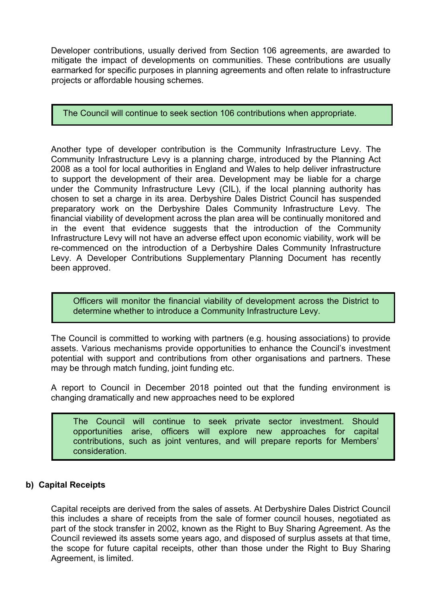Developer contributions, usually derived from Section 106 agreements, are awarded to mitigate the impact of developments on communities. These contributions are usually earmarked for specific purposes in planning agreements and often relate to infrastructure projects or affordable housing schemes.

The Council will continue to seek section 106 contributions when appropriate.

Another type of developer contribution is the Community Infrastructure Levy. The Community Infrastructure Levy is a planning charge, introduced by the Planning Act 2008 as a tool for local authorities in England and Wales to help deliver infrastructure to support the development of their area. Development may be liable for a charge under the Community Infrastructure Levy (CIL), if the local planning authority has chosen to set a charge in its area. Derbyshire Dales District Council has suspended preparatory work on the Derbyshire Dales Community Infrastructure Levy. The financial viability of development across the plan area will be continually monitored and in the event that evidence suggests that the introduction of the Community Infrastructure Levy will not have an adverse effect upon economic viability, work will be re-commenced on the introduction of a Derbyshire Dales Community Infrastructure Levy. A Developer Contributions Supplementary Planning Document has recently been approved.

Officers will monitor the financial viability of development across the District to determine whether to introduce a Community Infrastructure Levy.

The Council is committed to working with partners (e.g. housing associations) to provide assets. Various mechanisms provide opportunities to enhance the Council's investment potential with support and contributions from other organisations and partners. These may be through match funding, joint funding etc.

A report to Council in December 2018 pointed out that the funding environment is changing dramatically and new approaches need to be explored

The Council will continue to seek private sector investment. Should opportunities arise, officers will explore new approaches for capital contributions, such as joint ventures, and will prepare reports for Members' consideration.

# b) Capital Receipts

Capital receipts are derived from the sales of assets. At Derbyshire Dales District Council this includes a share of receipts from the sale of former council houses, negotiated as part of the stock transfer in 2002, known as the Right to Buy Sharing Agreement. As the Council reviewed its assets some years ago, and disposed of surplus assets at that time, the scope for future capital receipts, other than those under the Right to Buy Sharing Agreement, is limited.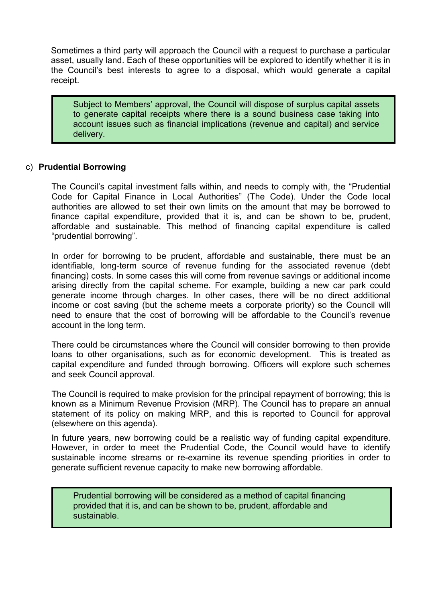Sometimes a third party will approach the Council with a request to purchase a particular asset, usually land. Each of these opportunities will be explored to identify whether it is in the Council's best interests to agree to a disposal, which would generate a capital receipt.

Subject to Members' approval, the Council will dispose of surplus capital assets to generate capital receipts where there is a sound business case taking into account issues such as financial implications (revenue and capital) and service delivery.

#### c) Prudential Borrowing

The Council's capital investment falls within, and needs to comply with, the "Prudential Code for Capital Finance in Local Authorities" (The Code). Under the Code local authorities are allowed to set their own limits on the amount that may be borrowed to finance capital expenditure, provided that it is, and can be shown to be, prudent, affordable and sustainable. This method of financing capital expenditure is called "prudential borrowing".

In order for borrowing to be prudent, affordable and sustainable, there must be an identifiable, long-term source of revenue funding for the associated revenue (debt financing) costs. In some cases this will come from revenue savings or additional income arising directly from the capital scheme. For example, building a new car park could generate income through charges. In other cases, there will be no direct additional income or cost saving (but the scheme meets a corporate priority) so the Council will need to ensure that the cost of borrowing will be affordable to the Council's revenue account in the long term.

There could be circumstances where the Council will consider borrowing to then provide loans to other organisations, such as for economic development. This is treated as capital expenditure and funded through borrowing. Officers will explore such schemes and seek Council approval.

The Council is required to make provision for the principal repayment of borrowing; this is known as a Minimum Revenue Provision (MRP). The Council has to prepare an annual statement of its policy on making MRP, and this is reported to Council for approval (elsewhere on this agenda).

In future years, new borrowing could be a realistic way of funding capital expenditure. However, in order to meet the Prudential Code, the Council would have to identify sustainable income streams or re-examine its revenue spending priorities in order to generate sufficient revenue capacity to make new borrowing affordable.

Prudential borrowing will be considered as a method of capital financing provided that it is, and can be shown to be, prudent, affordable and sustainable.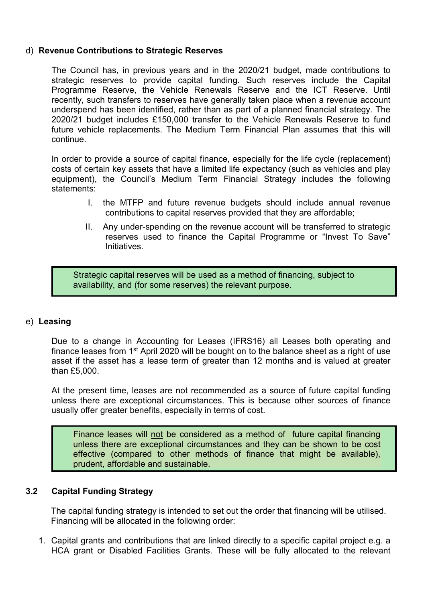### d) Revenue Contributions to Strategic Reserves

The Council has, in previous years and in the 2020/21 budget, made contributions to strategic reserves to provide capital funding. Such reserves include the Capital Programme Reserve, the Vehicle Renewals Reserve and the ICT Reserve. Until recently, such transfers to reserves have generally taken place when a revenue account underspend has been identified, rather than as part of a planned financial strategy. The 2020/21 budget includes £150,000 transfer to the Vehicle Renewals Reserve to fund future vehicle replacements. The Medium Term Financial Plan assumes that this will continue.

In order to provide a source of capital finance, especially for the life cycle (replacement) costs of certain key assets that have a limited life expectancy (such as vehicles and play equipment), the Council's Medium Term Financial Strategy includes the following statements:

- I. the MTFP and future revenue budgets should include annual revenue contributions to capital reserves provided that they are affordable;
- II. Any under-spending on the revenue account will be transferred to strategic reserves used to finance the Capital Programme or "Invest To Save" Initiatives.

Strategic capital reserves will be used as a method of financing, subject to availability, and (for some reserves) the relevant purpose.

#### e) Leasing

Due to a change in Accounting for Leases (IFRS16) all Leases both operating and finance leases from 1<sup>st</sup> April 2020 will be bought on to the balance sheet as a right of use asset if the asset has a lease term of greater than 12 months and is valued at greater than £5,000.

At the present time, leases are not recommended as a source of future capital funding unless there are exceptional circumstances. This is because other sources of finance usually offer greater benefits, especially in terms of cost.

Finance leases will not be considered as a method of future capital financing unless there are exceptional circumstances and they can be shown to be cost effective (compared to other methods of finance that might be available), prudent, affordable and sustainable.

### 3.2 Capital Funding Strategy

The capital funding strategy is intended to set out the order that financing will be utilised. Financing will be allocated in the following order:

1. Capital grants and contributions that are linked directly to a specific capital project e.g. a HCA grant or Disabled Facilities Grants. These will be fully allocated to the relevant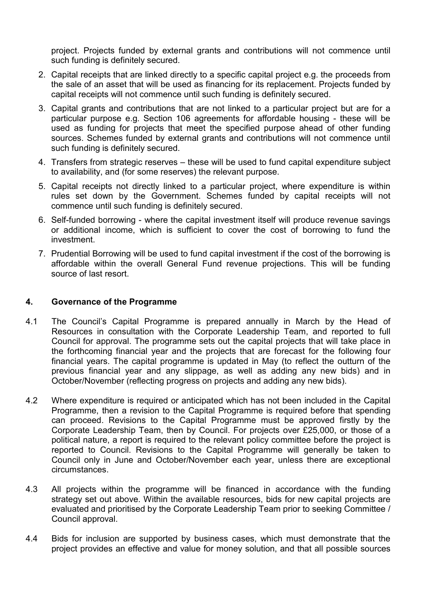project. Projects funded by external grants and contributions will not commence until such funding is definitely secured.

- 2. Capital receipts that are linked directly to a specific capital project e.g. the proceeds from the sale of an asset that will be used as financing for its replacement. Projects funded by capital receipts will not commence until such funding is definitely secured.
- 3. Capital grants and contributions that are not linked to a particular project but are for a particular purpose e.g. Section 106 agreements for affordable housing - these will be used as funding for projects that meet the specified purpose ahead of other funding sources. Schemes funded by external grants and contributions will not commence until such funding is definitely secured.
- 4. Transfers from strategic reserves these will be used to fund capital expenditure subject to availability, and (for some reserves) the relevant purpose.
- 5. Capital receipts not directly linked to a particular project, where expenditure is within rules set down by the Government. Schemes funded by capital receipts will not commence until such funding is definitely secured.
- 6. Self-funded borrowing where the capital investment itself will produce revenue savings or additional income, which is sufficient to cover the cost of borrowing to fund the investment.
- 7. Prudential Borrowing will be used to fund capital investment if the cost of the borrowing is affordable within the overall General Fund revenue projections. This will be funding source of last resort.

## 4. Governance of the Programme

- 4.1 The Council's Capital Programme is prepared annually in March by the Head of Resources in consultation with the Corporate Leadership Team, and reported to full Council for approval. The programme sets out the capital projects that will take place in the forthcoming financial year and the projects that are forecast for the following four financial years. The capital programme is updated in May (to reflect the outturn of the previous financial year and any slippage, as well as adding any new bids) and in October/November (reflecting progress on projects and adding any new bids).
- 4.2 Where expenditure is required or anticipated which has not been included in the Capital Programme, then a revision to the Capital Programme is required before that spending can proceed. Revisions to the Capital Programme must be approved firstly by the Corporate Leadership Team, then by Council. For projects over £25,000, or those of a political nature, a report is required to the relevant policy committee before the project is reported to Council. Revisions to the Capital Programme will generally be taken to Council only in June and October/November each year, unless there are exceptional circumstances.
- 4.3 All projects within the programme will be financed in accordance with the funding strategy set out above. Within the available resources, bids for new capital projects are evaluated and prioritised by the Corporate Leadership Team prior to seeking Committee / Council approval.
- 4.4 Bids for inclusion are supported by business cases, which must demonstrate that the project provides an effective and value for money solution, and that all possible sources